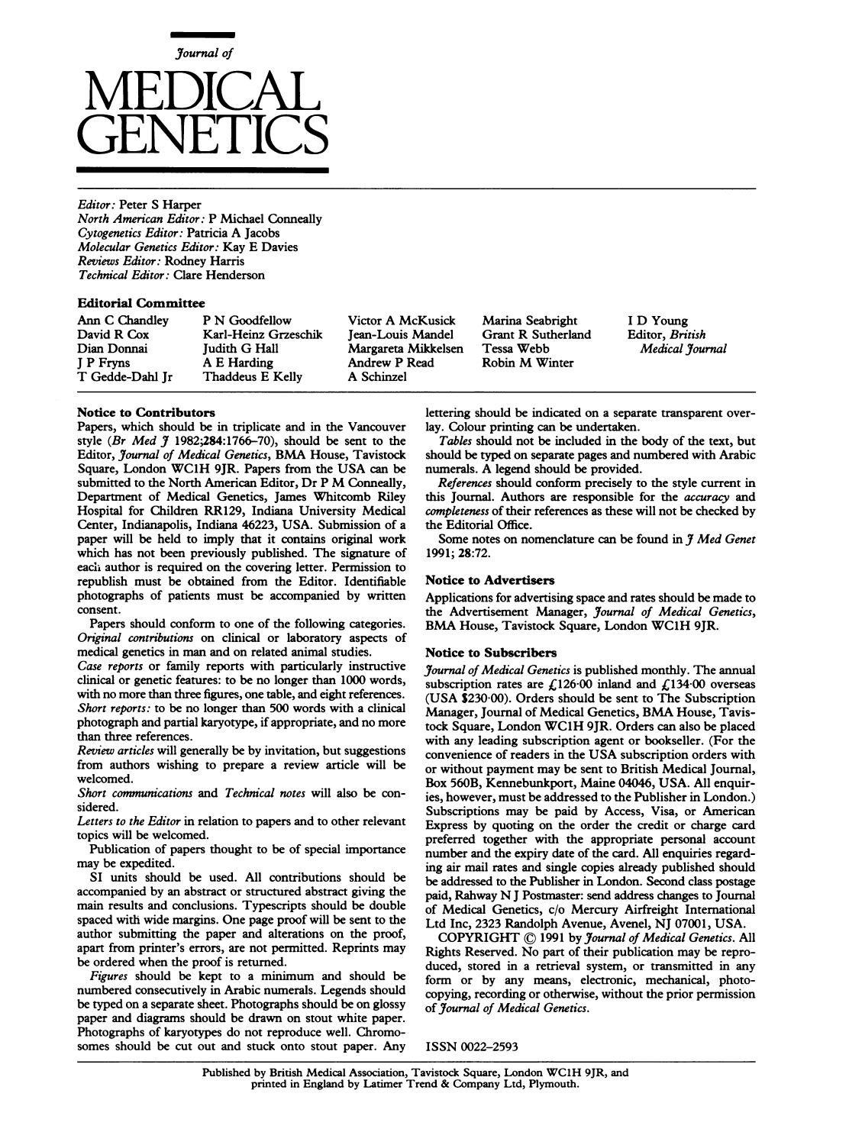

Editor: Peter S Harper North American Editor: P Michael Conneally Cytogenetics Editor: Patricia A Jacobs Molecular Genetics Editor: Kay E Davies Reviews Editor: Rodney Harris Technical Editor: Clare Henderson

### Editorial Committee

Ann C Chandley P N Goodfellow Victor A McKusick Marina Seabright I D Young<br>
David R Cox Karl-Heinz Grzeschik Jean-Louis Mandel Grant R Sutherland Editor, *British* David R Cox Karl-Heinz Grzeschik Jean-Louis Mandel Grant R Sutherland Editor, British Cox Karl-Heinz Grzeschik Jean-Louis Mandel Grant R Sutherland Editor, British Dian Donnai Judith G Hall Margareta Mikkelsen<br>
J P Fryns A E Harding Andrew P Read <sup>J</sup> <sup>P</sup> Fryns A <sup>E</sup> Harding Andrew <sup>P</sup> Read Robin M Winter Thaddeus E Kelly

## Notice to Contributors

Papers, which should be in triplicate and in the Vancouver style (Br Med  $\frac{9}{7}$  1982;284:1766-70), should be sent to the Editor, Journal of Medical Genetics, BMA House, Tavistock Square, London WC1H 9JR. Papers from the USA can be submitted to the North American Editor, Dr <sup>P</sup> M Conneally, Department of Medical Genetics, James Whitcomb Riley Hospital for Children RR129, Indiana University Medical Center, Indianapolis, Indiana 46223, USA. Submission of a paper will be held to imply that it contains original work which has not been previously published. The signature of eacii author is required on the covering letter. Permission to republish must be obtained from the Editor. Identifiable photographs of patients must be accompanied by written consent.

Papers should conform to one of the following categories. Original contributions on clinical or laboratory aspects of medical genetics in man and on related animal studies.

Case reports or family reports with particularly instructive clinical or genetic features: to be no longer than 1000 words, with no more than three figures, one table, and eight references. Short reports: to be no longer than 500 words with a clinical photograph and partial karyotype, if appropriate, and no more than three references.

Review articles will generally be by invitation, but suggestions from authors wishing to prepare a review article will be welcomed.

Short communications and Technical notes will also be considered.

Letters to the Editor in relation to papers and to other relevant topics will be welcomed.

Publication of papers thought to be of special importance may be expedited.

SI units should be used. All contributions should be accompanied by an abstract or structured abstract giving the main results and conclusions. Typescripts should be double spaced with wide margins. One page proof will be sent to the author submitting the paper and alterations on the proof, apart from printer's errors, are not permitted. Reprints may be ordered when the proof is returned.

Figures should be kept to a minimum and should be numbered consecutively in Arabic numerals. Legends should be typed on a separate sheet. Photographs should be on glossy paper and diagrams should be drawn on stout white paper. Photographs of karyotypes do not reproduce well. Chromosomes should be cut out and stuck onto stout paper. Any

lettering should be indicated on a separate transparent overlay. Colour printing can be undertaken.

Tables should not be included in the body of the text, but should be typed on separate pages and numbered with Arabic numerals. A legend should be provided.

References should conform precisely to the style current in this Journal. Authors are responsible for the accuracy and completeness of their references as these will not be checked by the Editorial Office.

Some notes on nomenclature can be found in  $\tilde{\jmath}$  Med Genet 1991; 28:72.

## Notice to Advertisers

Applications for advertising space and rates should be made to the Advertisement Manager, Journal of Medical Genetics, BMA House, Tavistock Square, London WC1H 9JR.

#### Notice to Subscribers

Journal of Medical Genetics is published monthly. The annual subscription rates are  $f(126.00)$  inland and  $f(134.00)$  overseas (USA \$230 00). Orders should be sent to The Subscription Manager, Journal of Medical Genetics, BMA House, Tavistock Square, London WC1H 9JR. Orders can also be placed with any leading subscription agent or bookseller. (For the convenience of readers in the USA subscription orders with or without payment may be sent to British Medical Journal, Box 560B, Kennebunkport, Maine 04046, USA. All enquiries, however, must be addressed to the Publisher in London.) Subscriptions may be paid by Access, Visa, or American Express by quoting on the order the credit or charge card preferred together with the appropriate personal account number and the expiry date of the card. All enquiries regarding air mail rates and single copies already published should be addressed to the Publisher in London. Second class postage paid, Rahway N<sup>J</sup> Postmaster: send address changes to Journal of Medical Genetics, c/o Mercury Airfreight International Ltd Inc, 2323 Randolph Avenue, Avenel, NJ 07001, USA.

COPYRIGHT (© <sup>1991</sup> by Journal of Medical Genetics. All Rights Reserved. No part of their publication may be reproduced, stored in a retrieval system, or transmitted in any form or by any means, electronic, mechanical, photocopying, recording or otherwise, without the prior permission of Journal of Medical Genetics.

ISSN 0022-2593